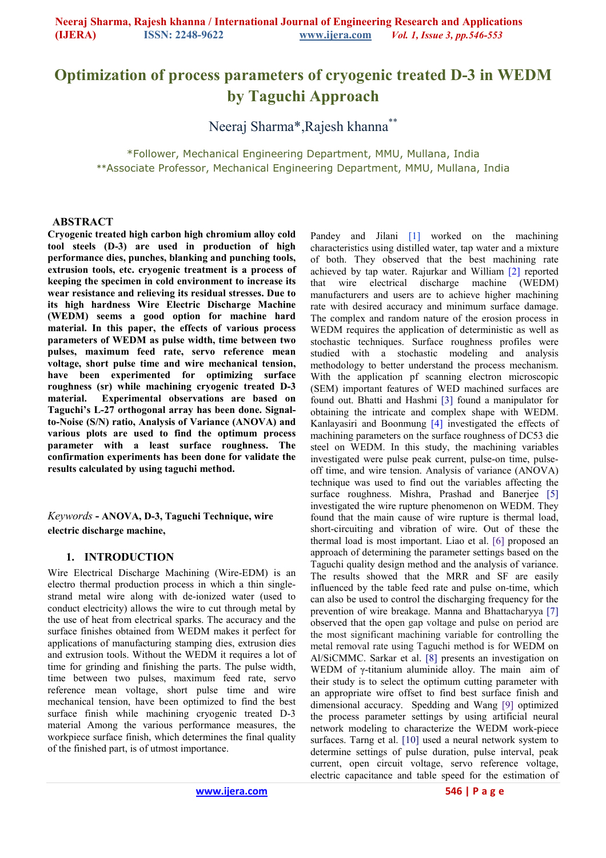# **Optimization of process parameters of cryogenic treated D-3 in WEDM by Taguchi Approach**

Neeraj Sharma\*,Rajesh khanna\*\*

\*Follower, Mechanical Engineering Department, MMU, Mullana, India \*\*Associate Professor, Mechanical Engineering Department, MMU, Mullana, India

#### **ABSTRACT**

**Cryogenic treated high carbon high chromium alloy cold tool steels (D-3) are used in production of high performance dies, punches, blanking and punching tools, extrusion tools, etc. cryogenic treatment is a process of keeping the specimen in cold environment to increase its wear resistance and relieving its residual stresses. Due to its high hardness Wire Electric Discharge Machine (WEDM) seems a good option for machine hard material. In this paper, the effects of various process parameters of WEDM as pulse width, time between two pulses, maximum feed rate, servo reference mean voltage, short pulse time and wire mechanical tension, have been experimented for optimizing surface roughness (sr) while machining cryogenic treated D-3 material. Experimental observations are based on Taguchi's L-27 orthogonal array has been done. Signalto-Noise (S/N) ratio, Analysis of Variance (ANOVA) and various plots are used to find the optimum process parameter with a least surface roughness. The confirmation experiments has been done for validate the results calculated by using taguchi method.** 

*Keywords* **- ANOVA, D-3, Taguchi Technique, wire electric discharge machine,** 

## **1. INTRODUCTION**

Wire Electrical Discharge Machining (Wire-EDM) is an electro thermal production process in which a thin singlestrand metal wire along with de-ionized water (used to conduct electricity) allows the wire to cut through metal by the use of heat from electrical sparks. The accuracy and the surface finishes obtained from WEDM makes it perfect for applications of manufacturing stamping dies, extrusion dies and extrusion tools. Without the WEDM it requires a lot of time for grinding and finishing the parts. The pulse width, time between two pulses, maximum feed rate, servo reference mean voltage, short pulse time and wire mechanical tension, have been optimized to find the best surface finish while machining cryogenic treated D-3 material Among the various performance measures, the workpiece surface finish, which determines the final quality of the finished part, is of utmost importance.

Pandey and Jilani [1] worked on the machining characteristics using distilled water, tap water and a mixture of both. They observed that the best machining rate achieved by tap water. Rajurkar and William [2] reported that wire electrical discharge machine (WEDM) manufacturers and users are to achieve higher machining rate with desired accuracy and minimum surface damage. The complex and random nature of the erosion process in WEDM requires the application of deterministic as well as stochastic techniques. Surface roughness profiles were studied with a stochastic modeling and analysis methodology to better understand the process mechanism. With the application pf scanning electron microscopic (SEM) important features of WED machined surfaces are found out. Bhatti and Hashmi [3] found a manipulator for obtaining the intricate and complex shape with WEDM. Kanlayasiri and Boonmung [4] investigated the effects of machining parameters on the surface roughness of DC53 die steel on WEDM. In this study, the machining variables investigated were pulse peak current, pulse-on time, pulseoff time, and wire tension. Analysis of variance (ANOVA) technique was used to find out the variables affecting the surface roughness. Mishra, Prashad and Banerjee [5] investigated the wire rupture phenomenon on WEDM. They found that the main cause of wire rupture is thermal load, short-circuiting and vibration of wire. Out of these the thermal load is most important. Liao et al. [6] proposed an approach of determining the parameter settings based on the Taguchi quality design method and the analysis of variance. The results showed that the MRR and SF are easily influenced by the table feed rate and pulse on-time, which can also be used to control the discharging frequency for the prevention of wire breakage. Manna and Bhattacharyya [7] observed that the open gap voltage and pulse on period are the most significant machining variable for controlling the metal removal rate using Taguchi method is for WEDM on Al/SiCMMC. Sarkar et al. [8] presents an investigation on WEDM of γ-titanium aluminide alloy. The main aim of their study is to select the optimum cutting parameter with an appropriate wire offset to find best surface finish and dimensional accuracy. Spedding and Wang [9] optimized the process parameter settings by using artificial neural network modeling to characterize the WEDM work-piece surfaces. Tarng et al. [10] used a neural network system to determine settings of pulse duration, pulse interval, peak current, open circuit voltage, servo reference voltage, electric capacitance and table speed for the estimation of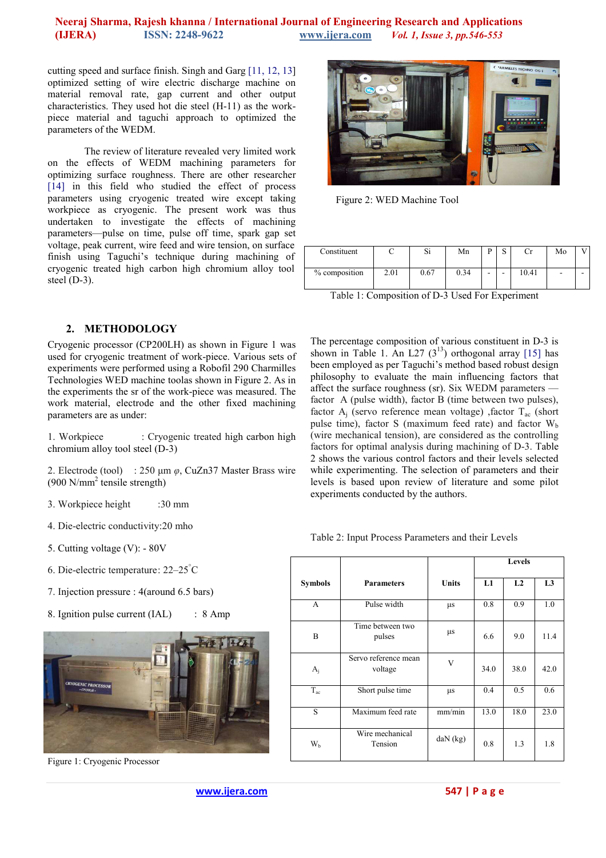## **Neeraj Sharma, Rajesh khanna / International Journal of Engineering Research and Applications (IJERA) ISSN: 2248-9622 www.ijera.com** *Vol. 1, Issue 3, pp.546-553*

cutting speed and surface finish. Singh and Garg [11, 12, 13] optimized setting of wire electric discharge machine on material removal rate, gap current and other output characteristics. They used hot die steel (H-11) as the workpiece material and taguchi approach to optimized the parameters of the WEDM.

The review of literature revealed very limited work on the effects of WEDM machining parameters for optimizing surface roughness. There are other researcher [14] in this field who studied the effect of process parameters using cryogenic treated wire except taking workpiece as cryogenic. The present work was thus undertaken to investigate the effects of machining parameters—pulse on time, pulse off time, spark gap set voltage, peak current, wire feed and wire tension, on surface finish using Taguchi's technique during machining of cryogenic treated high carbon high chromium alloy tool steel (D-3).

## **2. METHODOLOGY**

Cryogenic processor (CP200LH) as shown in Figure 1 was used for cryogenic treatment of work-piece. Various sets of experiments were performed using a Robofil 290 Charmilles Technologies WED machine toolas shown in Figure 2. As in the experiments the sr of the work-piece was measured. The work material, electrode and the other fixed machining parameters are as under:

1. Workpiece : Cryogenic treated high carbon high chromium alloy tool steel (D-3)

2. Electrode (tool) : 250 µm *φ*, CuZn37 Master Brass wire  $(900 \text{ N/mm}^2$  tensile strength)

- 3. Workpiece height :30 mm
- 4. Die-electric conductivity:20 mho
- 5. Cutting voltage (V): 80V
- 6. Die-electric temperature : 22–25°C
- 7. Injection pressure : 4(around 6.5 bars)
- 8. Ignition pulse current (IAL) : 8 Amp



Figure 1: Cryogenic Processor



Figure 2: WED Machine Tool

| Constituent   |      | r.<br>ЭI  | Mn   |   | ш |       | Mo |   |
|---------------|------|-----------|------|---|---|-------|----|---|
| % composition | 2.01 | $_{0.67}$ | 0.34 | - | - | 10.41 | ۰  | - |

Table 1: Composition of D-3 Used For Experiment

The percentage composition of various constituent in D-3 is shown in Table 1. An L27  $(3^{13})$  orthogonal array [15] has been employed as per Taguchi's method based robust design philosophy to evaluate the main influencing factors that affect the surface roughness (sr). Six WEDM parameters factor A (pulse width), factor B (time between two pulses), factor  $A_j$  (servo reference mean voltage) , factor  $T_{ac}$  (short pulse time), factor S (maximum feed rate) and factor  $W<sub>b</sub>$ (wire mechanical tension), are considered as the controlling factors for optimal analysis during machining of D-3. Table 2 shows the various control factors and their levels selected while experimenting. The selection of parameters and their levels is based upon review of literature and some pilot experiments conducted by the authors.

Table 2: Input Process Parameters and their Levels

|                |                                 |              | Levels |      |                |
|----------------|---------------------------------|--------------|--------|------|----------------|
| <b>Symbols</b> | <b>Parameters</b>               | <b>Units</b> | L1     | L2   | L <sub>3</sub> |
| A              | Pulse width                     | μs           | 0.8    | 0.9  | 1.0            |
| B              | Time between two<br>pulses      | μs           | 6.6    | 9.0  | 11.4           |
| $A_i$          | Servo reference mean<br>voltage | V            | 34.0   | 38.0 | 42.0           |
| $T_{ac}$       | Short pulse time                | μs           | 0.4    | 0.5  | 0.6            |
| S              | Maximum feed rate               | mm/min       | 13.0   | 18.0 | 23.0           |
| W <sub>b</sub> | Wire mechanical<br>Tension      | daN (kg)     | 0.8    | 1.3  | 1.8            |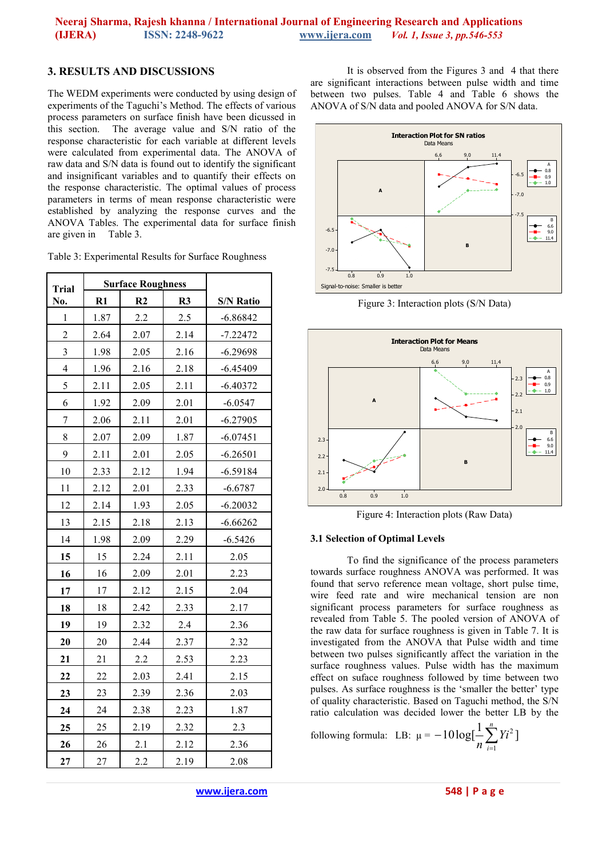# **3. RESULTS AND DISCUSSIONS**

The WEDM experiments were conducted by using design of experiments of the Taguchi's Method. The effects of various process parameters on surface finish have been dicussed in this section. The average value and S/N ratio of the response characteristic for each variable at different levels were calculated from experimental data. The ANOVA of raw data and S/N data is found out to identify the significant and insignificant variables and to quantify their effects on the response characteristic. The optimal values of process parameters in terms of mean response characteristic were established by analyzing the response curves and the ANOVA Tables. The experimental data for surface finish are given in Table 3.

| <b>Trial</b>            |               | <b>Surface Roughness</b> |      |                  |
|-------------------------|---------------|--------------------------|------|------------------|
| No.                     | $\mathbf{R}1$ | R <sub>2</sub>           | R3   | <b>S/N Ratio</b> |
| $\,1$                   | 1.87          | 2.2                      | 2.5  | $-6.86842$       |
| $\overline{c}$          | 2.64          | 2.07                     | 2.14 | $-7.22472$       |
| $\overline{\mathbf{3}}$ | 1.98          | 2.05                     | 2.16 | $-6.29698$       |
| $\overline{4}$          | 1.96          | 2.16                     | 2.18 | $-6.45409$       |
| 5                       | 2.11          | 2.05                     | 2.11 | $-6.40372$       |
| 6                       | 1.92          | 2.09                     | 2.01 | $-6.0547$        |
| $\overline{7}$          | 2.06          | 2.11                     | 2.01 | $-6.27905$       |
| 8                       | 2.07          | 2.09                     | 1.87 | $-6.07451$       |
| 9                       | 2.11          | 2.01                     | 2.05 | $-6.26501$       |
| $10\,$                  | 2.33          | 2.12                     | 1.94 | $-6.59184$       |
| 11                      | 2.12          | 2.01                     | 2.33 | $-6.6787$        |
| 12                      | 2.14          | 1.93                     | 2.05 | $-6.20032$       |
| 13                      | 2.15          | 2.18                     | 2.13 | $-6.66262$       |
| 14                      | 1.98          | 2.09                     | 2.29 | $-6.5426$        |
| 15                      | 15            | 2.24                     | 2.11 | 2.05             |
| 16                      | 16            | 2.09                     | 2.01 | 2.23             |
| 17                      | 17            | 2.12                     | 2.15 | 2.04             |
| 18                      | 18            | 2.42                     | 2.33 | 2.17             |
| 19                      | 19            | 2.32                     | 2.4  | 2.36             |
| 20                      | 20            | 2.44                     | 2.37 | 2.32             |
| 21                      | 21            | 2.2                      | 2.53 | 2.23             |
| 22                      | $22\,$        | 2.03                     | 2.41 | 2.15             |
| 23                      | 23            | 2.39                     | 2.36 | 2.03             |
| 24                      | 24            | 2.38                     | 2.23 | 1.87             |
| 25                      | 25            | 2.19                     | 2.32 | 2.3              |
| 26                      | 26            | 2.1                      | 2.12 | 2.36             |
| 27                      | 27            | 2.2                      | 2.19 | 2.08             |

It is observed from the Figures 3 and 4 that there are significant interactions between pulse width and time between two pulses. Table 4 and Table 6 shows the ANOVA of S/N data and pooled ANOVA for S/N data.



Figure 3: Interaction plots (S/N Data)



Figure 4: Interaction plots (Raw Data)

## **3.1 Selection of Optimal Levels**

To find the significance of the process parameters towards surface roughness ANOVA was performed. It was found that servo reference mean voltage, short pulse time, wire feed rate and wire mechanical tension are non significant process parameters for surface roughness as revealed from Table 5. The pooled version of ANOVA of the raw data for surface roughness is given in Table 7. It is investigated from the ANOVA that Pulse width and time between two pulses significantly affect the variation in the surface roughness values. Pulse width has the maximum effect on suface roughness followed by time between two pulses. As surface roughness is the 'smaller the better' type of quality characteristic. Based on Taguchi method, the S/N ratio calculation was decided lower the better LB by the

following formula: LB:  $\mu = -10 \log[\frac{1}{2} \sum_{i=1}^{n} Y_i^2]$  $-10\log[\frac{1}{n}\sum_{i=1}^{n}Y_i^2]$ *i Yi n*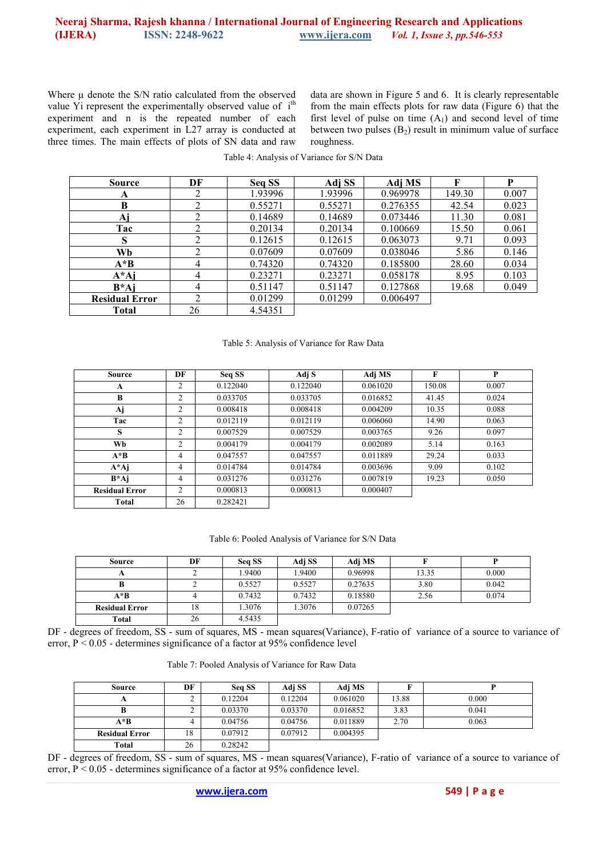## Neeraj Sharma, Rajesh khanna / International Journal of Engineering Research and Applications<br>
(IJERA) **ISSN:** 2248-9622 **WWW.ijera.com** *Vol. 1, Issue 3, pp.546-553* **(IJERA) ISSN: 2248-9622 www.ijera.com** *Vol. 1, Issue 3, pp.546-553*

Where  $\mu$  denote the S/N ratio calculated from the observed value Yi represent the experimentally observed value of i<sup>th</sup> experiment and n is the repeated number of each experiment, each experiment in L27 array is conducted at three times. The main effects of plots of SN data and raw

data are shown in Figure 5 and 6. It is clearly representable from the main effects plots for raw data (Figure 6) that the first level of pulse on time  $(A_1)$  and second level of time between two pulses  $(B_2)$  result in minimum value of surface roughness.

| <b>Source</b>         | DF | Seq SS  | Adj SS  | Adj MS   | F      | P     |
|-----------------------|----|---------|---------|----------|--------|-------|
| A                     | 2  | 1.93996 | 1.93996 | 0.969978 | 149.30 | 0.007 |
| B                     | 2  | 0.55271 | 0.55271 | 0.276355 | 42.54  | 0.023 |
| $\mathbf{A}$ j        | 2  | 0.14689 | 0.14689 | 0.073446 | 11.30  | 0.081 |
| Tac                   | 2  | 0.20134 | 0.20134 | 0.100669 | 15.50  | 0.061 |
| S                     | 2  | 0.12615 | 0.12615 | 0.063073 | 9.71   | 0.093 |
| Wb                    | ↑  | 0.07609 | 0.07609 | 0.038046 | 5.86   | 0.146 |
| $A * B$               | 4  | 0.74320 | 0.74320 | 0.185800 | 28.60  | 0.034 |
| $A^*A$ j              | 4  | 0.23271 | 0.23271 | 0.058178 | 8.95   | 0.103 |
| $B^*A$ i              | 4  | 0.51147 | 0.51147 | 0.127868 | 19.68  | 0.049 |
| <b>Residual Error</b> | 2  | 0.01299 | 0.01299 | 0.006497 |        |       |
| <b>Total</b>          | 26 | 4.54351 |         |          |        |       |

Table 4: Analysis of Variance for S/N Data

#### Table 5: Analysis of Variance for Raw Data

| Source                | DF             | Seq SS   | Adj S    | Adj MS   | F      | P     |
|-----------------------|----------------|----------|----------|----------|--------|-------|
| A                     | 2              | 0.122040 | 0.122040 | 0.061020 | 150.08 | 0.007 |
| B                     | 2              | 0.033705 | 0.033705 | 0.016852 | 41.45  | 0.024 |
| Aj                    | ↑              | 0.008418 | 0.008418 | 0.004209 | 10.35  | 0.088 |
| Tac                   | ↑              | 0.012119 | 0.012119 | 0.006060 | 14.90  | 0.063 |
| S                     | $\overline{c}$ | 0.007529 | 0.007529 | 0.003765 | 9.26   | 0.097 |
| Wb                    | ↑              | 0.004179 | 0.004179 | 0.002089 | 5.14   | 0.163 |
| $A^*B$                | 4              | 0.047557 | 0.047557 | 0.011889 | 29.24  | 0.033 |
| $A^*A$ j              | 4              | 0.014784 | 0.014784 | 0.003696 | 9.09   | 0.102 |
| $B^*A$ j              | 4              | 0.031276 | 0.031276 | 0.007819 | 19.23  | 0.050 |
| <b>Residual Error</b> | $\mathfrak{D}$ | 0.000813 | 0.000813 | 0.000407 |        |       |
| Total                 | 26             | 0.282421 |          |          |        |       |

Table 6: Pooled Analysis of Variance for S/N Data

| Source                | DF | Seq SS | Adj SS | Adj MS  |       |       |
|-----------------------|----|--------|--------|---------|-------|-------|
|                       |    | 1.9400 | 1.9400 | 0.96998 | 13.35 | 0.000 |
|                       |    | 0.5527 | 0.5527 | 0.27635 | 3.80  | 0.042 |
| $A * B$               |    | 0.7432 | 0.7432 | 0.18580 | 2.56  | 0.074 |
| <b>Residual Error</b> |    | 1.3076 | 1.3076 | 0.07265 |       |       |
| Total                 | 26 | 4.5435 |        |         |       |       |

DF - degrees of freedom, SS - sum of squares, MS - mean squares(Variance), F-ratio of variance of a source to variance of error, P < 0.05 - determines significance of a factor at 95% confidence level

Table 7: Pooled Analysis of Variance for Raw Data

| Source                | DF | Seq SS  | Adj SS  | Adj MS   |       |       |
|-----------------------|----|---------|---------|----------|-------|-------|
| A                     |    | 0.12204 | 0.12204 | 0.061020 | 13.88 | 0.000 |
|                       |    | 0.03370 | 0.03370 | 0.016852 | 3.83  | 0.041 |
| $A * B$               |    | 0.04756 | 0.04756 | 0.011889 | 2.70  | 0.063 |
| <b>Residual Error</b> | 18 | 0.07912 | 0.07912 | 0.004395 |       |       |
| Total                 | 26 | 0.28242 |         |          |       |       |

 $\Box$ DF - degrees of freedom, SS - sum of squares, MS - mean squares(Variance), F-ratio of variance of a source to variance of error,  $P < 0.05$  - determines significance of a factor at 95% confidence level.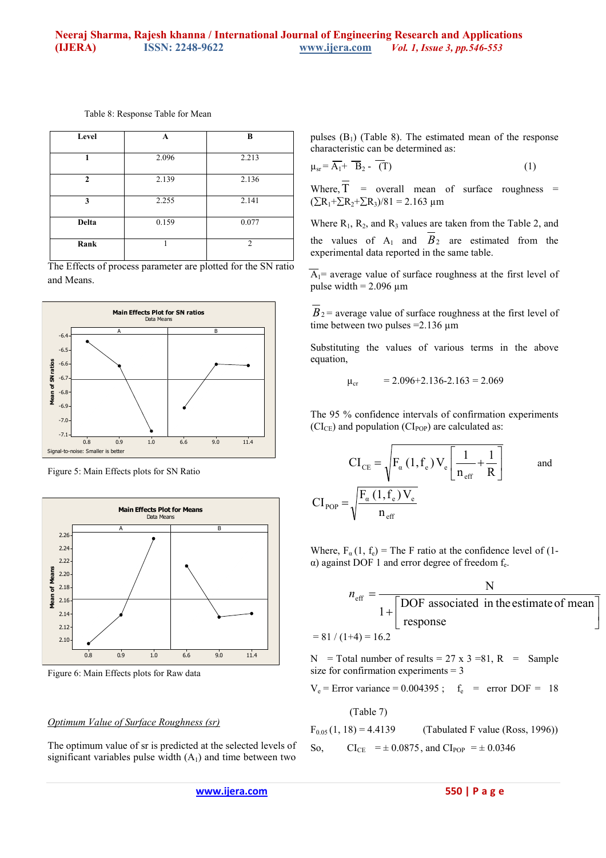| Level        | A     | B              |
|--------------|-------|----------------|
|              |       |                |
|              | 2.096 | 2.213          |
| $\mathbf{2}$ | 2.139 | 2.136          |
| 3            | 2.255 | 2.141          |
| Delta        | 0.159 | 0.077          |
| Rank         |       | $\mathfrak{D}$ |

Table 8: Response Table for Mean

The Effects of process parameter are plotted for the SN ratio and Means.



Figure 5: Main Effects plots for SN Ratio



Figure 6: Main Effects plots for Raw data

#### *Optimum Value of Surface Roughness (sr)*

The optimum value of sr is predicted at the selected levels of significant variables pulse width  $(A<sub>1</sub>)$  and time between two

pulses  $(B_1)$  (Table 8). The estimated mean of the response characteristic can be determined as:

$$
\mu_{sr} = \overline{A_1} + \overline{B}_2 - \overline{(T)}
$$
 (1)

Where,  $\overline{T}$  = overall mean of surface roughness =  $(\Sigma R_1 + \Sigma R_2 + \Sigma R_3)/81 = 2.163$  µm

Where  $R_1$ ,  $R_2$ , and  $R_3$  values are taken from the Table 2, and the values of  $A_1$  and  $B_2$  are estimated from the experimental data reported in the same table.

 $\overline{A_1}$ = average value of surface roughness at the first level of pulse width  $= 2.096 \text{ µm}$ 

 $B_2$  = average value of surface roughness at the first level of time between two pulses  $=2.136 \mu m$ 

Substituting the values of various terms in the above equation,

$$
\mu_{cr} = 2.096 + 2.136 - 2.163 = 2.069
$$

The 95 % confidence intervals of confirmation experiments  $(CI_{CE})$  and population  $(CI_{POP})$  are calculated as:

$$
CI_{CE} = \sqrt{F_{\alpha} (1, f_e) V_e} \left[ \frac{1}{n_{eff}} + \frac{1}{R} \right]
$$
 and  

$$
CI_{POP} = \sqrt{\frac{F_{\alpha} (1, f_e) V_e}{n_{eff}}}
$$

Where,  $F_a(1, f_e)$  = The F ratio at the confidence level of (1- $\alpha$ ) against DOF 1 and error degree of freedom  $f_e$ .

$$
n_{\text{eff}} = \frac{N}{1 + \left[\text{DOF associated in the estimate of mean}\right]}
$$
  
= 81 / (1+4) = 16.2

 $\overline{\phantom{a}}$  $\rfloor$ 

N = Total number of results =  $27 \times 3 = 81$ , R = Sample size for confirmation experiments = 3

 $V_e$  = Error variance = 0.004395;  $f_e$  = error DOF = 18

(Table 7)

 $F_{0.05}$  (1, 18) = 4.4139 (Tabulated F value (Ross, 1996)) So,  $CI_{CE}$  =  $\pm 0.0875$ , and  $CI_{POP}$  =  $\pm 0.0346$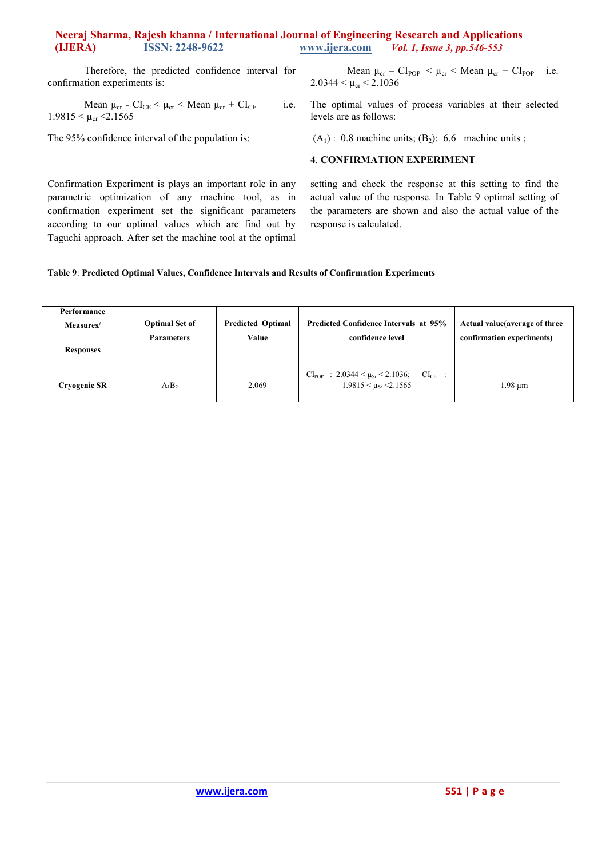# **Neeraj Sharma, Rajesh khanna / International Journal of Engineering Research and Applications (IJERA) ISSN: 2248-9622 www.ijera.com** *Vol. 1, Issue 3, pp.546-553*

Therefore, the predicted confidence interval for confirmation experiments is:

Mean  $\mu_{cr}$  -  $CI_{CE}$  <  $\mu_{cr}$  < Mean  $\mu_{cr}$  +  $CI_{CE}$  i.e.  $1.9815 < \mu_{cr} < 2.1565$ 

Confirmation Experiment is plays an important role in any parametric optimization of any machine tool, as in confirmation experiment set the significant parameters according to our optimal values which are find out by Taguchi approach. After set the machine tool at the optimal

The 95% confidence interval of the population is:

Mean  $\mu_{cr}$  –  $CI_{POP}$  <  $\mu_{cr}$  < Mean  $\mu_{cr}$  +  $CI_{POP}$  i.e.  $2.0344 < \mu_{cr} < 2.1036$ 

The optimal values of process variables at their selected levels are as follows:

 $(A<sub>1</sub>)$  : 0.8 machine units;  $(B<sub>2</sub>)$ : 6.6 machine units;

## **4***.* **CONFIRMATION EXPERIMENT**

setting and check the response at this setting to find the actual value of the response. In Table 9 optimal setting of the parameters are shown and also the actual value of the response is calculated.

## **Table 9**: **Predicted Optimal Values, Confidence Intervals and Results of Confirmation Experiments**

| Performance<br>Measures/<br><b>Responses</b> | <b>Optimal Set of</b><br><b>Parameters</b> | <b>Predicted Optimal</b><br>Value | <b>Predicted Confidence Intervals at 95%</b><br>confidence level                          | Actual value (average of three<br>confirmation experiments) |
|----------------------------------------------|--------------------------------------------|-----------------------------------|-------------------------------------------------------------------------------------------|-------------------------------------------------------------|
| <b>Cryogenic SR</b>                          | $A_1B_2$                                   | 2.069                             | $CI_{POP}$ : 2.0344 < $\mu_{Sr}$ < 2.1036;<br>$CI_{CE}$ :<br>$1.9815 < \mu_{Sr} < 2.1565$ | 1.98 um                                                     |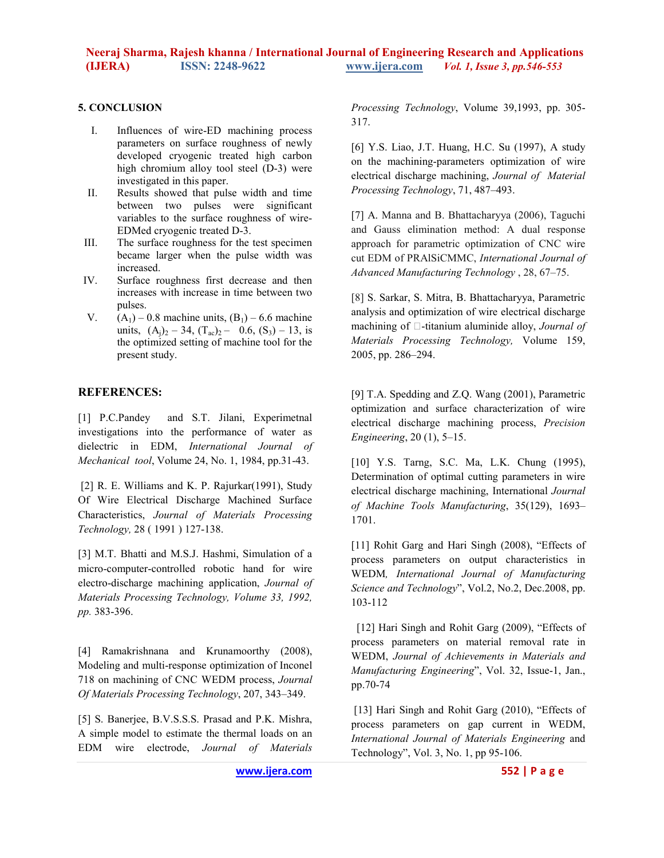# **5. CONCLUSION**

- I. Influences of wire-ED machining process parameters on surface roughness of newly developed cryogenic treated high carbon high chromium alloy tool steel (D-3) were investigated in this paper.
- II. Results showed that pulse width and time between two pulses were significant variables to the surface roughness of wire-EDMed cryogenic treated D-3.
- III. The surface roughness for the test specimen became larger when the pulse width was increased.
- IV. Surface roughness first decrease and then increases with increase in time between two pulses.
- V.  $(A_1)$  0.8 machine units,  $(B_1)$  6.6 machine units,  $(A_i)_2 - 34$ ,  $(T_{ac})_2 - 0.6$ ,  $(S_3) - 13$ , is the optimized setting of machine tool for the present study.

## **REFERENCES:**

[1] P.C.Pandey and S.T. Jilani, Experimetnal investigations into the performance of water as dielectric in EDM, *International Journal of Mechanical tool*, Volume 24, No. 1, 1984, pp.31-43.

 [2] R. E. Williams and K. P. Rajurkar(1991), Study Of Wire Electrical Discharge Machined Surface Characteristics, *Journal of Materials Processing Technology,* 28 ( 1991 ) 127-138.

[3] M.T. Bhatti and M.S.J. Hashmi, Simulation of a micro-computer-controlled robotic hand for wire electro-discharge machining application, *Journal of Materials Processing Technology, Volume 33, 1992, pp.* 383-396.

[4] Ramakrishnana and Krunamoorthy (2008), Modeling and multi-response optimization of Inconel 718 on machining of CNC WEDM process, *Journal Of Materials Processing Technology*, 207, 343–349.

[5] S. Banerjee, B.V.S.S.S. Prasad and P.K. Mishra, A simple model to estimate the thermal loads on an EDM wire electrode, *Journal of Materials*  *Processing Technology*, Volume 39,1993, pp. 305- 317.

[6] Y.S. Liao, J.T. Huang, H.C. Su (1997), A study on the machining-parameters optimization of wire electrical discharge machining, *Journal of Material Processing Technology*, 71, 487–493.

[7] A. Manna and B. Bhattacharyya (2006), Taguchi and Gauss elimination method: A dual response approach for parametric optimization of CNC wire cut EDM of PRAlSiCMMC, *International Journal of Advanced Manufacturing Technology* , 28, 67–75.

[8] S. Sarkar, S. Mitra, B. Bhattacharyya, Parametric analysis and optimization of wire electrical discharge machining of  $\square$ -titanium aluminide alloy, *Journal of Materials Processing Technology,* Volume 159, 2005, pp. 286–294.

[9] T.A. Spedding and Z.Q. Wang (2001), Parametric optimization and surface characterization of wire electrical discharge machining process, *Precision Engineering*, 20 (1), 5–15.

[10] Y.S. Tarng, S.C. Ma, L.K. Chung (1995), Determination of optimal cutting parameters in wire electrical discharge machining, International *Journal of Machine Tools Manufacturing*, 35(129), 1693– 1701.

[11] Rohit Garg and Hari Singh (2008), "Effects of process parameters on output characteristics in WEDM*, International Journal of Manufacturing Science and Technology*", Vol.2, No.2, Dec.2008, pp. 103-112

[12] Hari Singh and Rohit Garg (2009), "Effects of process parameters on material removal rate in WEDM, *Journal of Achievements in Materials and Manufacturing Engineering*", Vol. 32, Issue-1, Jan., pp.70-74

[13] Hari Singh and Rohit Garg (2010), "Effects of process parameters on gap current in WEDM, *International Journal of Materials Engineering* and Technology", Vol. 3, No. 1, pp 95-106.